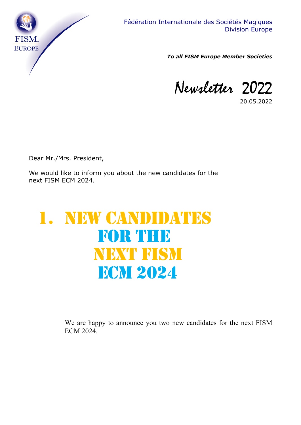

*To all FISM Europe Member Societies*

Newsletter 2022

20.05.2022

Dear Mr./Mrs. President,

We would like to inform you about the new candidates for the next FISM ECM 2024.

## 1. NEW CANDIDATES FOR THE NEXT FISM **ECM 2024**

We are happy to announce you two new candidates for the next FISM ECM 2024.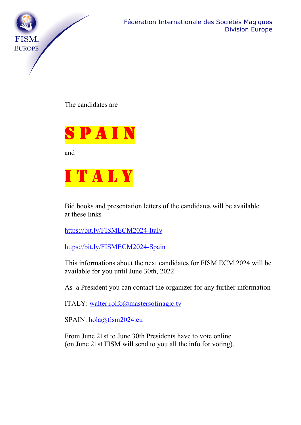

The candidates are



and



Bid books and presentation letters of the candidates will be available at these links

https://bit.ly/FISMECM2024-Italy

https://bit.ly/FISMECM2024-Spain

This informations about the next candidates for FISM ECM 2024 will be available for you until June 30th, 2022.

As a President you can contact the organizer for any further information

ITALY: walter.rolfo@mastersofmagic.tv

SPAIN: hola@fism2024.eu

From June 21st to June 30th Presidents have to vote online (on June 21st FISM will send to you all the info for voting).